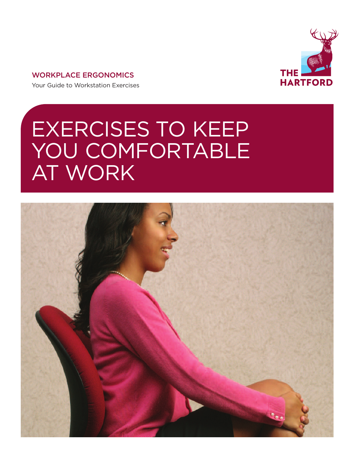

# **WORKPLACE ERGONOMICS**

Your Guide to Workstation Exercises

# EXERCISES TO KEEP YOU COMFORTABLE AT WORK

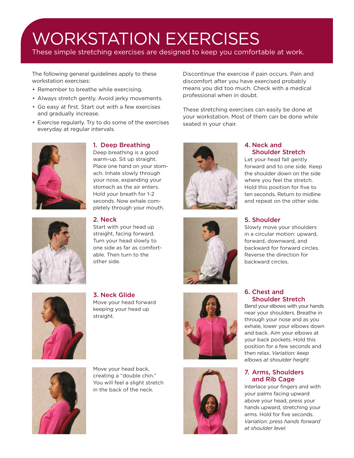# WORKSTATION EXERCISES

These simple stretching exercises are designed to keep you comfortable at work.

The following general guidelines apply to these workstation exercises:

- Remember to breathe while exercising.
- Always stretch gently. Avoid jerky movements.
- Go easy at first. Start out with a few exercises and gradually increase.
- Exercise regularly. Try to do some of the exercises everyday at regular intervals.



# **1. Deep Breathing**

Deep breathing is a good warm-up. Sit up straight. Place one hand on your stomach. Inhale slowly through your nose, expanding your stomach as the air enters. Hold your breath for 1-2 seconds. Now exhale completely through your mouth.

# **2. Neck**

Start with your head up straight, facing forward. Turn your head slowly to one side as far as comfortable. Then turn to the other side.



**3. Neck Glide** Move your head forward keeping your head up straight.





Discontinue the exercise if pain occurs. Pain and discomfort after you have exercised probably means you did too much. Check with a medical professional when in doubt.

These stretching exercises can easily be done at your workstation. Most of them can be done while seated in your chair.







forward and to one side. Keep the shoulder down on the side where you feel the stretch. Hold this position for five to ten seconds. Return to midline and repeat on the other side.

#### **5. Shoulder**

Slowly move your shoulders in a circular motion: upward, forward, downward, and backward for forward circles. Reverse the direction for backward circles.

## **6. Chest and Shoulder Stretch**

Bend your elbows with your hands near your shoulders. Breathe in through your nose and as you exhale, lower your elbows down and back. Aim your elbows at your back pockets. Hold this position for a few seconds and then relax. *Variation: keep elbows at shoulder height.*

# **7. Arms, Shoulders and Rib Cage**

Interlace your fingers and with your palms facing upward above your head, press your hands upward, stretching your arms. Hold for five seconds. *Variation: press hands forward at shoulder level.*



Move your head back, creating a "double chin." You will feel a slight stretch in the back of the neck.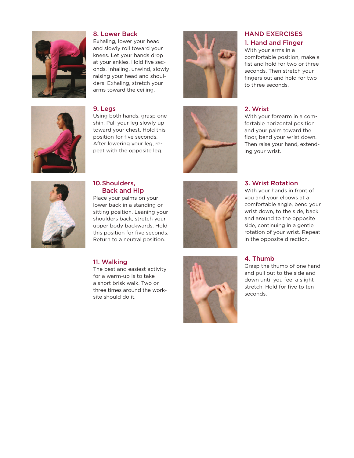

#### **8.** Lower Back

Exhaling, lower your head and slowly roll toward your knees. Let your hands drop at your ankles. Hold five seconds. Inhaling, unwind, slowly raising your head and shoulders. Exhaling, stretch your arms toward the ceiling.



Using both hands, grasp one shin. Pull your leg slowly up toward your chest. Hold this position for five seconds. After lowering your leg, repeat with the opposite leg.





# **HAND EXERCISES** 1. Hand and Finger

With your arms in a comfortable position, make a fist and hold for two or three seconds. Then stretch your fingers out and hold for two to three seconds.

## **2 . W r i s t**

With your forearm in a comfortable horizontal position and your palm toward the floor, bend your wrist down. Then raise your hand, extending your wrist.

# **3. Wrist Rotation**

With your hands in front of you and your elbows at a comfortable angle, bend your wrist down, to the side, back and around to the opposite side, continuing in a gentle rotation of your wrist. Repeat in the opposite direction.

#### **4. Thumb**

Grasp the thumb of one hand and pull out to the side and down until you feel a slight stretch. Hold for five to ten seconds.



#### 10. Shoulders, **Back and Hip**

Place your palms on your lower back in a standing or sitting position. Leaning your shoulders back, stretch your upper body backwards. Hold this position for five seconds. Return to a neutral position.

#### 11. Walking

The best and easiest activity for a warm-up is to take a short brisk walk. Two or three times around the worksite should do it.